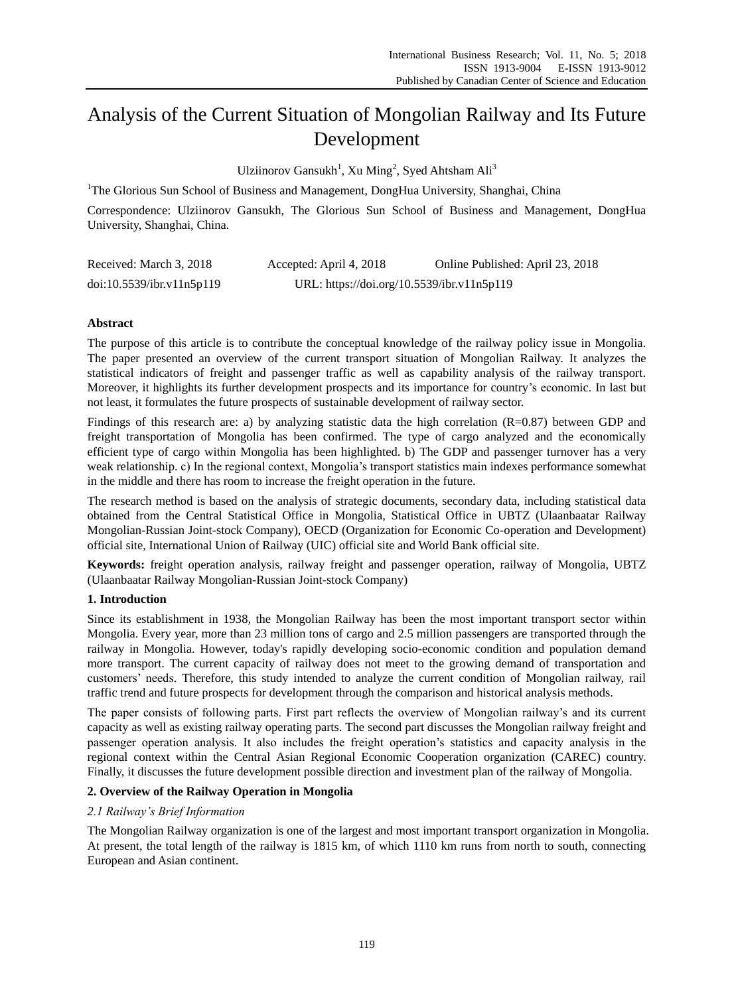# Analysis of the Current Situation of Mongolian Railway and Its Future Development

Ulziinorov Gansukh<sup>1</sup>, Xu Ming<sup>2</sup>, Syed Ahtsham Ali<sup>3</sup>

<sup>1</sup>The Glorious Sun School of Business and Management, DongHua University, Shanghai, China

Correspondence: Ulziinorov Gansukh, The Glorious Sun School of Business and Management, DongHua University, Shanghai, China.

| Received: March 3, 2018   | Accepted: April 4, 2018                    | Online Published: April 23, 2018 |
|---------------------------|--------------------------------------------|----------------------------------|
| doi:10.5539/ibr.v11n5p119 | URL: https://doi.org/10.5539/ibr.v11n5p119 |                                  |

# **Abstract**

The purpose of this article is to contribute the conceptual knowledge of the railway policy issue in Mongolia. The paper presented an overview of the current transport situation of Mongolian Railway. It analyzes the statistical indicators of freight and passenger traffic as well as capability analysis of the railway transport. Moreover, it highlights its further development prospects and its importance for country's economic. In last but not least, it formulates the future prospects of sustainable development of railway sector.

Findings of this research are: a) by analyzing statistic data the high correlation (R=0.87) between GDP and freight transportation of Mongolia has been confirmed. The type of cargo analyzed and the economically efficient type of cargo within Mongolia has been highlighted. b) The GDP and passenger turnover has a very weak relationship. c) In the regional context, Mongolia's transport statistics main indexes performance somewhat in the middle and there has room to increase the freight operation in the future.

The research method is based on the analysis of strategic documents, secondary data, including statistical data obtained from the Central Statistical Office in Mongolia, Statistical Office in UBTZ (Ulaanbaatar Railway Mongolian-Russian Joint-stock Company), OECD (Organization for Economic Co-operation and Development) official site, International Union of Railway (UIC) official site and World Bank official site.

**Keywords:** freight operation analysis, railway freight and passenger operation, railway of Mongolia, UBTZ (Ulaanbaatar Railway Mongolian-Russian Joint-stock Company)

# **1. Introduction**

Since its establishment in 1938, the Mongolian Railway has been the most important transport sector within Mongolia. Every year, more than 23 million tons of cargo and 2.5 million passengers are transported through the railway in Mongolia. However, today's rapidly developing socio-economic condition and population demand more transport. The current capacity of railway does not meet to the growing demand of transportation and customers' needs. Therefore, this study intended to analyze the current condition of Mongolian railway, rail traffic trend and future prospects for development through the comparison and historical analysis methods.

The paper consists of following parts. First part reflects the overview of Mongolian railway's and its current capacity as well as existing railway operating parts. The second part discusses the Mongolian railway freight and passenger operation analysis. It also includes the freight operation's statistics and capacity analysis in the regional context within the Central Asian Regional Economic Cooperation organization (CAREC) country. Finally, it discusses the future development possible direction and investment plan of the railway of Mongolia.

# **2. Overview of the Railway Operation in Mongolia**

# *2.1 Railway's Brief Information*

The Mongolian Railway organization is one of the largest and most important transport organization in Mongolia. At present, the total length of the railway is 1815 km, of which 1110 km runs from north to south, connecting European and Asian continent.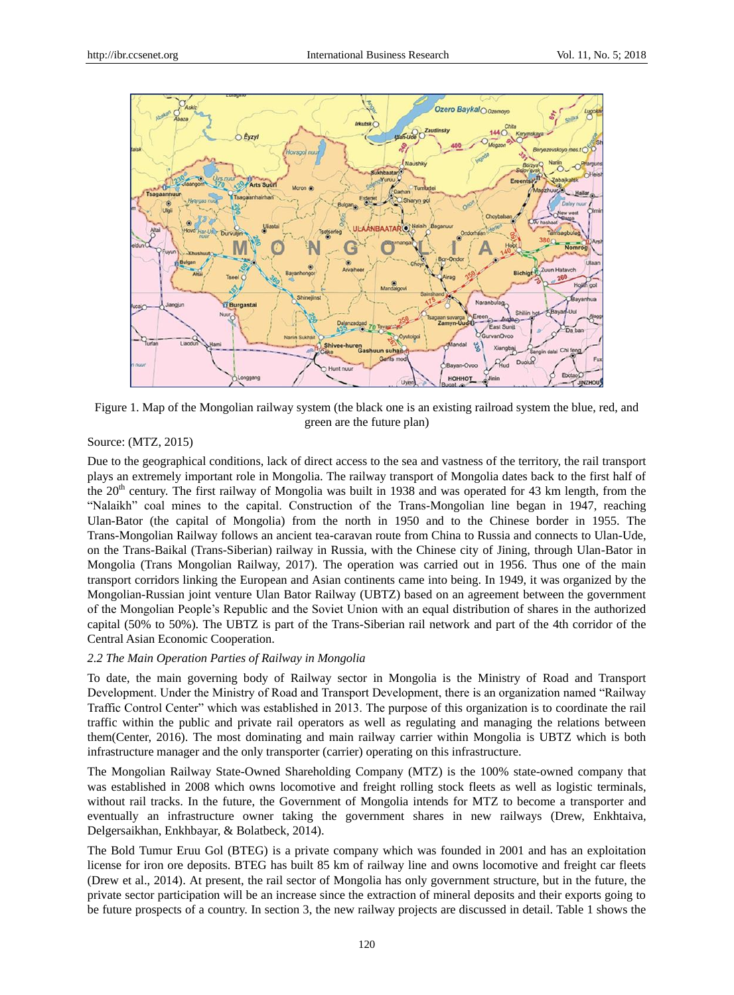

Figure 1. Map of the Mongolian railway system (the black one is an existing railroad system the blue, red, and green are the future plan)

## Source: (MTZ, 2015)

Due to the geographical conditions, lack of direct access to the sea and vastness of the territory, the rail transport plays an extremely important role in Mongolia. The railway transport of Mongolia dates back to the first half of the  $20<sup>th</sup>$  century. The first railway of Mongolia was built in 1938 and was operated for 43 km length, from the "Nalaikh" coal mines to the capital. Construction of the Trans-Mongolian line began in 1947, reaching Ulan-Bator (the capital of Mongolia) from the north in 1950 and to the Chinese border in 1955. The Trans-Mongolian Railway follows an ancient tea-caravan route from China to Russia and connects to Ulan-Ude, on the Trans-Baikal (Trans-Siberian) railway in Russia, with the Chinese city of Jining, through Ulan-Bator in Mongolia (Trans Mongolian Railway, 2017). The operation was carried out in 1956. Thus one of the main transport corridors linking the European and Asian continents came into being. In 1949, it was organized by the Mongolian-Russian joint venture Ulan Bator Railway (UBTZ) based on an agreement between the government of the Mongolian People's Republic and the Soviet Union with an equal distribution of shares in the authorized capital (50% to 50%). The UBTZ is part of the Trans-Siberian rail network and part of the 4th corridor of the Central Asian Economic Cooperation.

# *2.2 The Main Operation Parties of Railway in Mongolia*

To date, the main governing body of Railway sector in Mongolia is the Ministry of Road and Transport Development. Under the Ministry of Road and Transport Development, there is an organization named "Railway Traffic Control Center" which was established in 2013. The purpose of this organization is to coordinate the rail traffic within the public and private rail operators as well as regulating and managing the relations between them(Center, 2016). The most dominating and main railway carrier within Mongolia is UBTZ which is both infrastructure manager and the only transporter (carrier) operating on this infrastructure.

The Mongolian Railway State-Owned Shareholding Company (MTZ) is the 100% state-owned company that was established in 2008 which owns locomotive and freight rolling stock fleets as well as logistic terminals, without rail tracks. In the future, the Government of Mongolia intends for MTZ to become a transporter and eventually an infrastructure owner taking the government shares in new railways (Drew, Enkhtaiva, Delgersaikhan, Enkhbayar, & Bolatbeck, 2014).

The Bold Tumur Eruu Gol (BTEG) is a private company which was founded in 2001 and has an exploitation license for iron ore deposits. BTEG has built 85 km of railway line and owns locomotive and freight car fleets (Drew et al., 2014). At present, the rail sector of Mongolia has only government structure, but in the future, the private sector participation will be an increase since the extraction of mineral deposits and their exports going to be future prospects of a country. In section 3, the new railway projects are discussed in detail. Table 1 shows the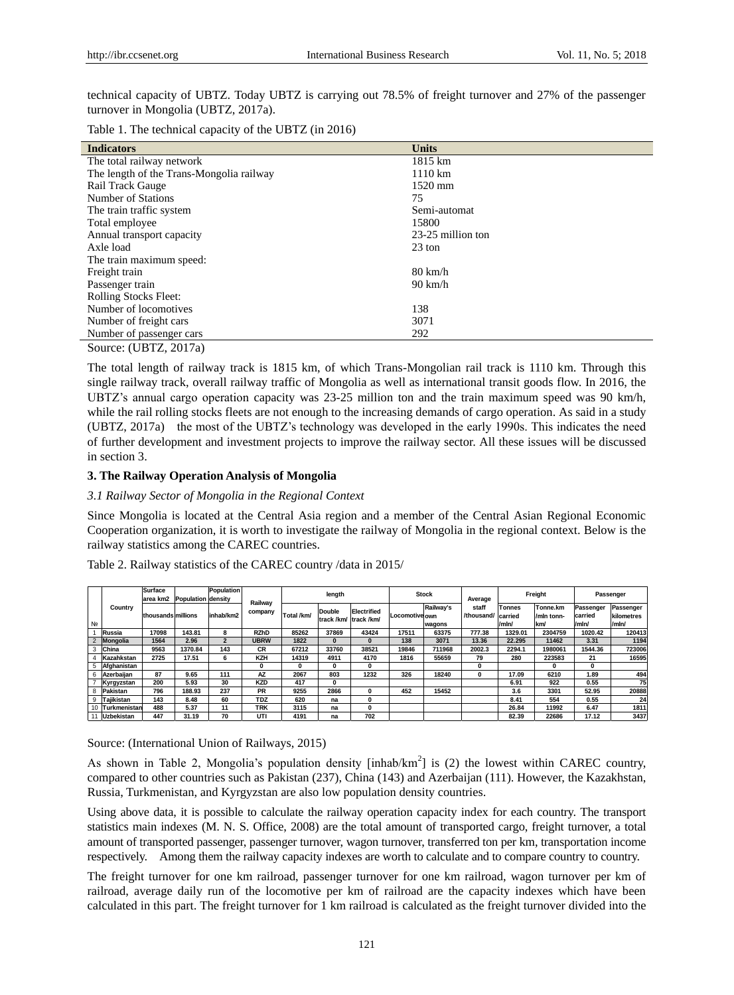technical capacity of UBTZ. Today UBTZ is carrying out 78.5% of freight turnover and 27% of the passenger turnover in Mongolia (UBTZ, 2017a).

| Table 1. The technical capacity of the UBTZ (in 2016) |  |  |
|-------------------------------------------------------|--|--|
|-------------------------------------------------------|--|--|

| <b>Indicators</b>                        | <b>Units</b>      |
|------------------------------------------|-------------------|
| The total railway network                | 1815 km           |
| The length of the Trans-Mongolia railway | 1110 km           |
| Rail Track Gauge                         | 1520 mm           |
| Number of Stations                       | 75                |
| The train traffic system                 | Semi-automat      |
| Total employee                           | 15800             |
| Annual transport capacity                | 23-25 million ton |
| Axle load                                | 23 ton            |
| The train maximum speed:                 |                   |
| Freight train                            | $80 \text{ km/h}$ |
| Passenger train                          | $90 \text{ km/h}$ |
| <b>Rolling Stocks Fleet:</b>             |                   |
| Number of locomotives                    | 138               |
| Number of freight cars                   | 3071              |
| Number of passenger cars                 | 292               |
|                                          |                   |

Source: (UBTZ, 2017a)

The total length of railway track is 1815 km, of which Trans-Mongolian rail track is 1110 km. Through this single railway track, overall railway traffic of Mongolia as well as international transit goods flow. In 2016, the UBTZ's annual cargo operation capacity was 23-25 million ton and the train maximum speed was 90 km/h, while the rail rolling stocks fleets are not enough to the increasing demands of cargo operation. As said in a study (UBTZ, 2017a) the most of the UBTZ's technology was developed in the early 1990s. This indicates the need of further development and investment projects to improve the railway sector. All these issues will be discussed in section 3.

#### **3. The Railway Operation Analysis of Mongolia**

*3.1 Railway Sector of Mongolia in the Regional Context*

Since Mongolia is located at the Central Asia region and a member of the Central Asian Regional Economic Cooperation organization, it is worth to investigate the railway of Mongolia in the regional context. Below is the railway statistics among the CAREC countries.

| <b>Surface</b><br>Population density<br>area km2                                                                                                                                                                                                                                                                                                                                                                                                                                    |                 | Population         |         | length         |                    |            | <b>Stock</b>                           |              | Average        | Freight             |                     | Passenger                   |                               |                               |                                  |
|-------------------------------------------------------------------------------------------------------------------------------------------------------------------------------------------------------------------------------------------------------------------------------------------------------------------------------------------------------------------------------------------------------------------------------------------------------------------------------------|-----------------|--------------------|---------|----------------|--------------------|------------|----------------------------------------|--------------|----------------|---------------------|---------------------|-----------------------------|-------------------------------|-------------------------------|----------------------------------|
| Nº                                                                                                                                                                                                                                                                                                                                                                                                                                                                                  | Country         | thousands millions |         | inhab/km2      | Railway<br>company | Total /km/ | <b>Double</b><br>track /km/ track /km/ | Electrified  | Locomotive own | Railway's<br>wagons | staff<br>/thousand/ | Tonnes<br>lcarried<br>/mln/ | Tonne.km<br>/min tonn-<br>km/ | Passenger<br>carried<br>/mln/ | Passenger<br>kilometres<br>/mln/ |
| $\overline{1}$                                                                                                                                                                                                                                                                                                                                                                                                                                                                      | Russia          | 17098              | 143.81  | 8              | <b>RZhD</b>        | 85262      | 37869                                  | 43424        | 17511          | 63375               | 777.38              | 1329.01                     | 2304759                       | 1020.42                       | 120413                           |
|                                                                                                                                                                                                                                                                                                                                                                                                                                                                                     | Mongolia        | 1564               | 2.96    | $\overline{2}$ | <b>UBRW</b>        | 1822       | $\mathbf{0}$                           | $\bf{0}$     | 138            | 3071                | 13.36               | 22.295                      | 11462                         | 3.31                          | 1194                             |
| 3                                                                                                                                                                                                                                                                                                                                                                                                                                                                                   | China           | 9563               | 1370.84 | 143            | CR                 | 67212      | 33760                                  | 38521        | 19846          | 711968              | 2002.3              | 2294.1                      | 1980061                       | 1544.36                       | 723006                           |
|                                                                                                                                                                                                                                                                                                                                                                                                                                                                                     | Kazahkstan      | 2725               | 17.51   | 6              | KZH                | 14319      | 4911                                   | 4170         | 1816           | 55659               | 79                  | 280                         | 223583                        | 21                            | 16595                            |
| 5                                                                                                                                                                                                                                                                                                                                                                                                                                                                                   | Afghanistan     |                    |         |                | 0                  | 0          | 0                                      | 0            |                |                     | 0                   |                             | 0                             | 0                             |                                  |
| 6                                                                                                                                                                                                                                                                                                                                                                                                                                                                                   | Azerbaijan      | 87                 | 9.65    | 111            | AZ                 | 2067       | 803                                    | 1232         | 326            | 18240               | 0                   | 17.09                       | 6210                          | 1.89                          | 494                              |
|                                                                                                                                                                                                                                                                                                                                                                                                                                                                                     | Kyrgyzstan      | 200                | 5.93    | 30             | <b>KZD</b>         | 417        | 0                                      |              |                |                     |                     | 6.91                        | 922                           | 0.55                          | 75                               |
| 8                                                                                                                                                                                                                                                                                                                                                                                                                                                                                   | Pakistan        | 796                | 188.93  | 237            | PR                 | 9255       | 2866                                   | 0            | 452            | 15452               |                     | 3.6                         | 3301                          | 52.95                         | 20888                            |
| 9                                                                                                                                                                                                                                                                                                                                                                                                                                                                                   | Tajikistan      | 143                | 8.48    | 60             | <b>TDZ</b>         | 620        | na                                     | 0            |                |                     |                     | 8.41                        | 554                           | 0.55                          | 24                               |
|                                                                                                                                                                                                                                                                                                                                                                                                                                                                                     | 10 Turkmenistan | 488                | 5.37    | 11             | <b>TRK</b>         | 3115       | na                                     | $\mathbf{0}$ |                |                     |                     | 26.84                       | 11992                         | 6.47                          | 1811                             |
|                                                                                                                                                                                                                                                                                                                                                                                                                                                                                     | 11 Uzbekistan   | 447                | 31.19   | 70             | UTI                | 4191       | na                                     | 702          |                |                     |                     | 82.39                       | 22686                         | 17.12                         | 3437                             |
| Source: (International Union of Railways, 2015)<br>As shown in Table 2, Mongolia's population density $\left[\frac{\text{inhab}}{\text{km}^2}\right]$ is (2) the lowest within CAREC country,<br>compared to other countries such as Pakistan (237), China (143) and Azerbaijan (111). However, the Kazakhstan,<br>Russia, Turkmenistan, and Kyrgyzstan are also low population density countries.                                                                                  |                 |                    |         |                |                    |            |                                        |              |                |                     |                     |                             |                               |                               |                                  |
| Using above data, it is possible to calculate the railway operation capacity index for each country. The transport<br>statistics main indexes (M. N. S. Office, 2008) are the total amount of transported cargo, freight turnover, a total<br>amount of transported passenger, passenger turnover, wagon turnover, transferred ton per km, transportation income<br>respectively. Among them the railway capacity indexes are worth to calculate and to compare country to country. |                 |                    |         |                |                    |            |                                        |              |                |                     |                     |                             |                               |                               |                                  |
| The freight turnover for one km railroad, passenger turnover for one km railroad, wagon turnover per km of<br>railroad, average daily run of the locomotive per km of railroad are the capacity indexes which have been<br>calculated in this part. The freight turnover for 1 km railroad is calculated as the freight turnover divided into the                                                                                                                                   |                 |                    |         |                |                    |            |                                        |              |                |                     |                     |                             |                               |                               |                                  |

Table 2. Railway statistics of the CAREC country /data in 2015/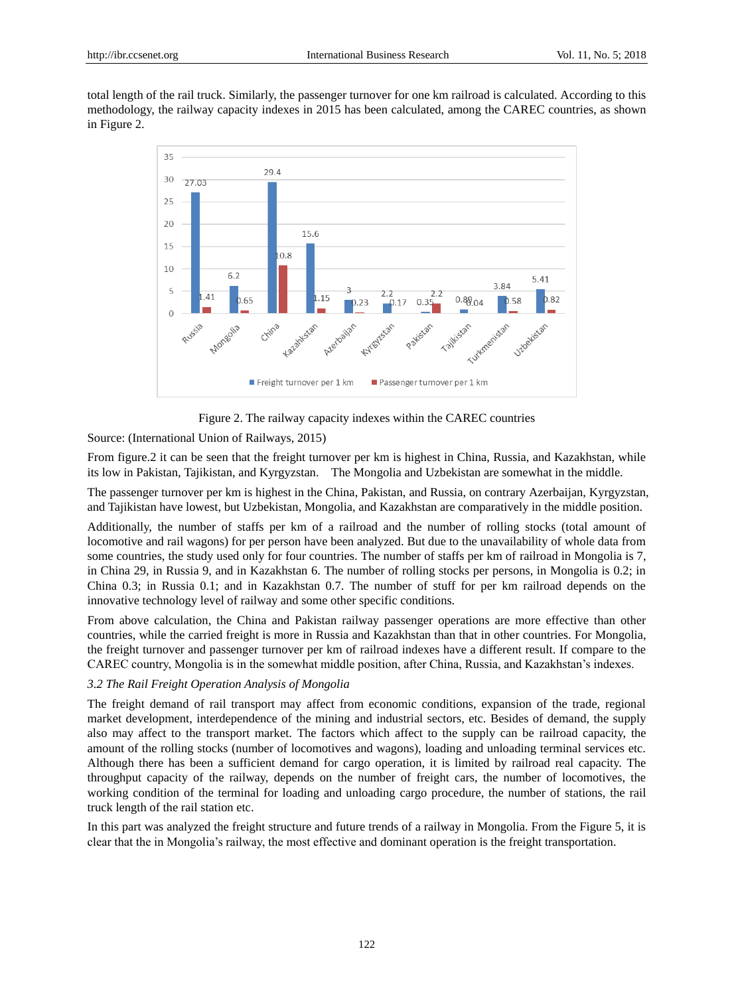total length of the rail truck. Similarly, the passenger turnover for one km railroad is calculated. According to this methodology, the railway capacity indexes in 2015 has been calculated, among the CAREC countries, as shown in Figure 2.



Figure 2. The railway capacity indexes within the CAREC countries

Source: (International Union of Railways, 2015)

From figure.2 it can be seen that the freight turnover per km is highest in China, Russia, and Kazakhstan, while its low in Pakistan, Tajikistan, and Kyrgyzstan. The Mongolia and Uzbekistan are somewhat in the middle.

The passenger turnover per km is highest in the China, Pakistan, and Russia, on contrary Azerbaijan, Kyrgyzstan, and Tajikistan have lowest, but Uzbekistan, Mongolia, and Kazakhstan are comparatively in the middle position.

Additionally, the number of staffs per km of a railroad and the number of rolling stocks (total amount of locomotive and rail wagons) for per person have been analyzed. But due to the unavailability of whole data from some countries, the study used only for four countries. The number of staffs per km of railroad in Mongolia is 7, in China 29, in Russia 9, and in Kazakhstan 6. The number of rolling stocks per persons, in Mongolia is 0.2; in China 0.3; in Russia 0.1; and in Kazakhstan 0.7. The number of stuff for per km railroad depends on the innovative technology level of railway and some other specific conditions.

From above calculation, the China and Pakistan railway passenger operations are more effective than other countries, while the carried freight is more in Russia and Kazakhstan than that in other countries. For Mongolia, the freight turnover and passenger turnover per km of railroad indexes have a different result. If compare to the CAREC country, Mongolia is in the somewhat middle position, after China, Russia, and Kazakhstan's indexes.

# *3.2 The Rail Freight Operation Analysis of Mongolia*

The freight demand of rail transport may affect from economic conditions, expansion of the trade, regional market development, interdependence of the mining and industrial sectors, etc. Besides of demand, the supply also may affect to the transport market. The factors which affect to the supply can be railroad capacity, the amount of the rolling stocks (number of locomotives and wagons), loading and unloading terminal services etc. Although there has been a sufficient demand for cargo operation, it is limited by railroad real capacity. The throughput capacity of the railway, depends on the number of freight cars, the number of locomotives, the working condition of the terminal for loading and unloading cargo procedure, the number of stations, the rail truck length of the rail station etc.

In this part was analyzed the freight structure and future trends of a railway in Mongolia. From the Figure 5, it is clear that the in Mongolia's railway, the most effective and dominant operation is the freight transportation.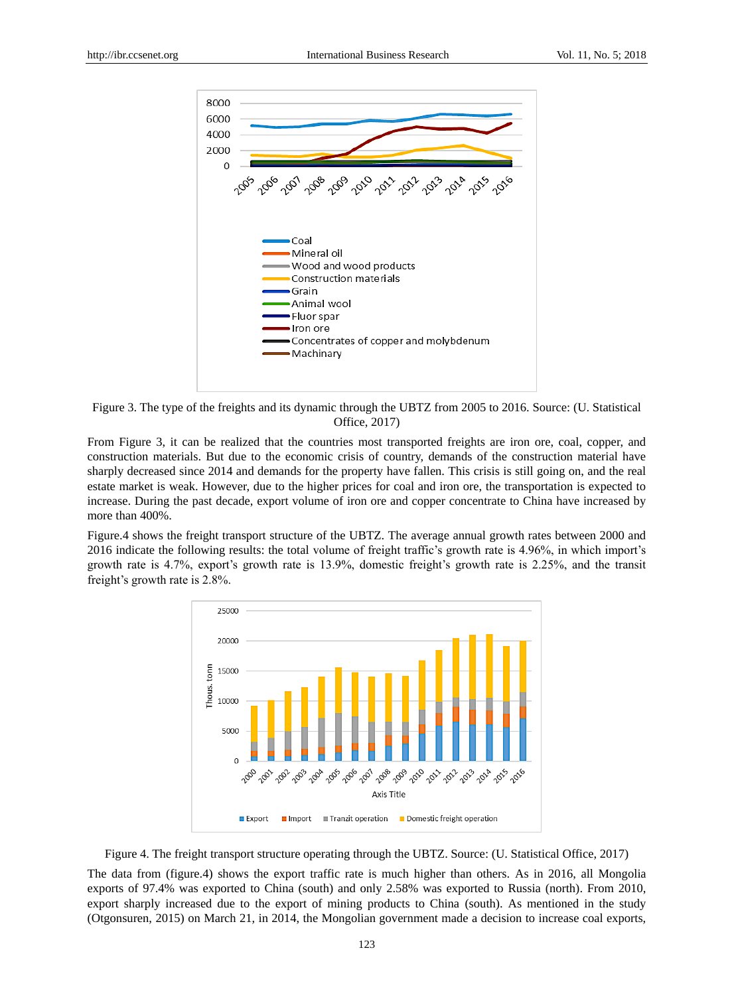

Figure 3. The type of the freights and its dynamic through the UBTZ from 2005 to 2016. Source: (U. Statistical Office, 2017)

From Figure 3, it can be realized that the countries most transported freights are iron ore, coal, copper, and construction materials. But due to the economic crisis of country, demands of the construction material have sharply decreased since 2014 and demands for the property have fallen. This crisis is still going on, and the real estate market is weak. However, due to the higher prices for coal and iron ore, the transportation is expected to increase. During the past decade, export volume of iron ore and copper concentrate to China have increased by more than 400%.

Figure.4 shows the freight transport structure of the UBTZ. The average annual growth rates between 2000 and 2016 indicate the following results: the total volume of freight traffic's growth rate is 4.96%, in which import's growth rate is 4.7%, export's growth rate is 13.9%, domestic freight's growth rate is 2.25%, and the transit freight's growth rate is 2.8%.



Figure 4. The freight transport structure operating through the UBTZ. Source: (U. Statistical Office, 2017)

The data from (figure.4) shows the export traffic rate is much higher than others. As in 2016, all Mongolia exports of 97.4% was exported to China (south) and only 2.58% was exported to Russia (north). From 2010, export sharply increased due to the export of mining products to China (south). As mentioned in the study (Otgonsuren, 2015) on March 21, in 2014, the Mongolian government made a decision to increase coal exports,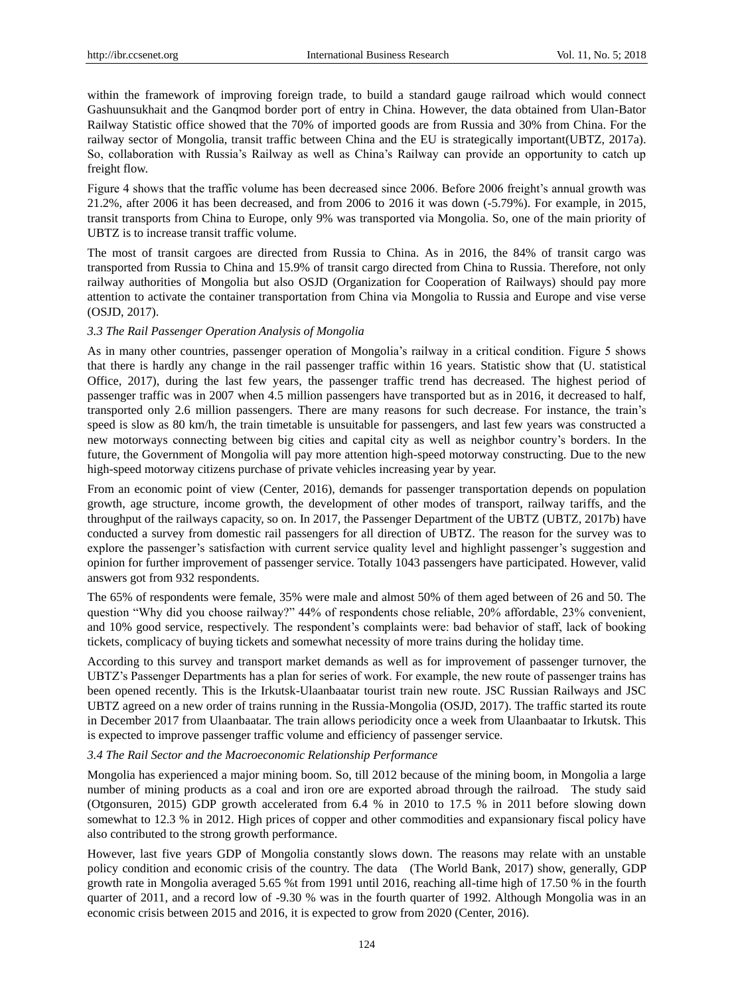within the framework of improving foreign trade, to build a standard gauge railroad which would connect Gashuunsukhait and the Ganqmod border port of entry in China. However, the data obtained from Ulan-Bator Railway Statistic office showed that the 70% of imported goods are from Russia and 30% from China. For the railway sector of Mongolia, transit traffic between China and the EU is strategically important(UBTZ, 2017a). So, collaboration with Russia's Railway as well as China's Railway can provide an opportunity to catch up freight flow.

Figure 4 shows that the traffic volume has been decreased since 2006. Before 2006 freight's annual growth was 21.2%, after 2006 it has been decreased, and from 2006 to 2016 it was down (-5.79%). For example, in 2015, transit transports from China to Europe, only 9% was transported via Mongolia. So, one of the main priority of UBTZ is to increase transit traffic volume.

The most of transit cargoes are directed from Russia to China. As in 2016, the 84% of transit cargo was transported from Russia to China and 15.9% of transit cargo directed from China to Russia. Therefore, not only railway authorities of Mongolia but also OSJD (Organization for Cooperation of Railways) should pay more attention to activate the container transportation from China via Mongolia to Russia and Europe and vise verse (OSJD, 2017).

## *3.3 The Rail Passenger Operation Analysis of Mongolia*

As in many other countries, passenger operation of Mongolia's railway in a critical condition. Figure 5 shows that there is hardly any change in the rail passenger traffic within 16 years. Statistic show that (U. statistical Office, 2017), during the last few years, the passenger traffic trend has decreased. The highest period of passenger traffic was in 2007 when 4.5 million passengers have transported but as in 2016, it decreased to half, transported only 2.6 million passengers. There are many reasons for such decrease. For instance, the train's speed is slow as 80 km/h, the train timetable is unsuitable for passengers, and last few years was constructed a new motorways connecting between big cities and capital city as well as neighbor country's borders. In the future, the Government of Mongolia will pay more attention high-speed motorway constructing. Due to the new high-speed motorway citizens purchase of private vehicles increasing year by year.

From an economic point of view (Center, 2016), demands for passenger transportation depends on population growth, age structure, income growth, the development of other modes of transport, railway tariffs, and the throughput of the railways capacity, so on. In 2017, the Passenger Department of the UBTZ (UBTZ, 2017b) have conducted a survey from domestic rail passengers for all direction of UBTZ. The reason for the survey was to explore the passenger's satisfaction with current service quality level and highlight passenger's suggestion and opinion for further improvement of passenger service. Totally 1043 passengers have participated. However, valid answers got from 932 respondents.

The 65% of respondents were female, 35% were male and almost 50% of them aged between of 26 and 50. The question "Why did you choose railway?" 44% of respondents chose reliable, 20% affordable, 23% convenient, and 10% good service, respectively. The respondent's complaints were: bad behavior of staff, lack of booking tickets, complicacy of buying tickets and somewhat necessity of more trains during the holiday time.

According to this survey and transport market demands as well as for improvement of passenger turnover, the UBTZ's Passenger Departments has a plan for series of work. For example, the new route of passenger trains has been opened recently. This is the Irkutsk-Ulaanbaatar tourist train new route. JSC Russian Railways and JSC UBTZ agreed on a new order of trains running in the Russia-Mongolia (OSJD, 2017). The traffic started its route in December 2017 from Ulaanbaatar. The train allows periodicity once a week from Ulaanbaatar to Irkutsk. This is expected to improve passenger traffic volume and efficiency of passenger service.

#### *3.4 The Rail Sector and the Macroeconomic Relationship Performance*

Mongolia has experienced a major mining boom. So, till 2012 because of the mining boom, in Mongolia a large number of mining products as a coal and iron ore are exported abroad through the railroad. The study said (Otgonsuren, 2015) GDP growth accelerated from 6.4 % in 2010 to 17.5 % in 2011 before slowing down somewhat to 12.3 % in 2012. High prices of copper and other commodities and expansionary fiscal policy have also contributed to the strong growth performance.

However, last five years GDP of Mongolia constantly slows down. The reasons may relate with an unstable policy condition and economic crisis of the country. The data (The World Bank, 2017) show, generally, GDP growth rate in Mongolia averaged 5.65 %t from 1991 until 2016, reaching all-time high of 17.50 % in the fourth quarter of 2011, and a record low of -9.30 % was in the fourth quarter of 1992. Although Mongolia was in an economic crisis between 2015 and 2016, it is expected to grow from 2020 (Center, 2016).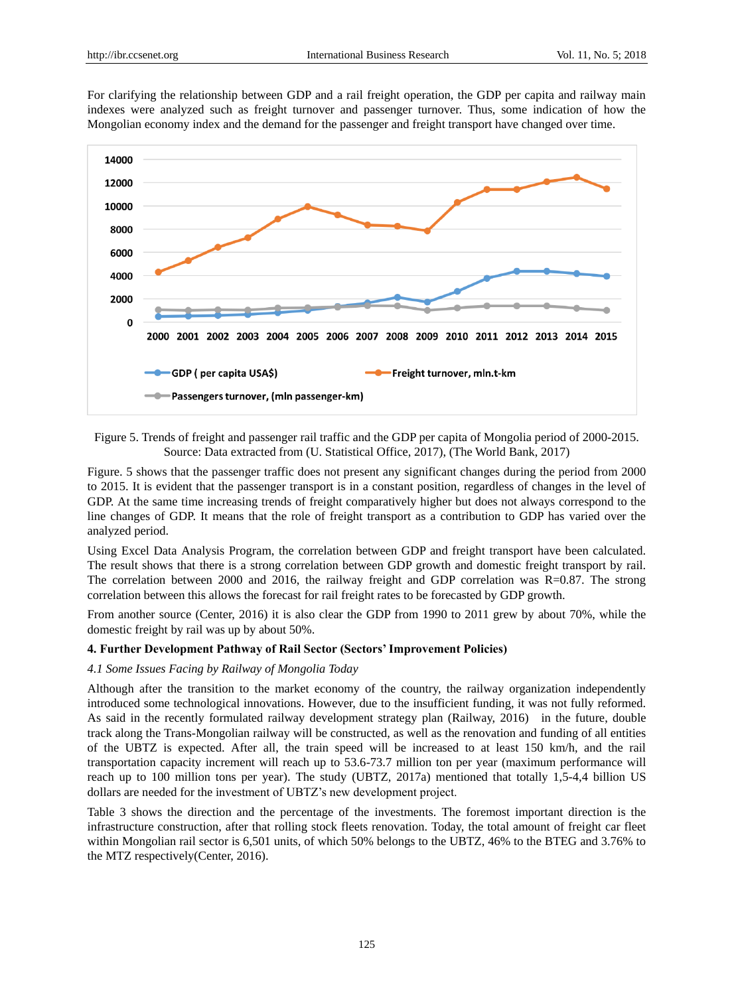For clarifying the relationship between GDP and a rail freight operation, the GDP per capita and railway main indexes were analyzed such as freight turnover and passenger turnover. Thus, some indication of how the Mongolian economy index and the demand for the passenger and freight transport have changed over time.



Figure 5. Trends of freight and passenger rail traffic and the GDP per capita of Mongolia period of 2000-2015. Source: Data extracted from (U. Statistical Office, 2017), (The World Bank, 2017)

Figure. 5 shows that the passenger traffic does not present any significant changes during the period from 2000 to 2015. It is evident that the passenger transport is in a constant position, regardless of changes in the level of GDP. At the same time increasing trends of freight comparatively higher but does not always correspond to the line changes of GDP. It means that the role of freight transport as a contribution to GDP has varied over the analyzed period.

Using Excel Data Analysis Program, the correlation between GDP and freight transport have been calculated. The result shows that there is a strong correlation between GDP growth and domestic freight transport by rail. The correlation between 2000 and 2016, the railway freight and GDP correlation was R=0.87. The strong correlation between this allows the forecast for rail freight rates to be forecasted by GDP growth.

From another source (Center, 2016) it is also clear the GDP from 1990 to 2011 grew by about 70%, while the domestic freight by rail was up by about 50%.

## **4. Further Development Pathway of Rail Sector (Sectors' Improvement Policies)**

#### *4.1 Some Issues Facing by Railway of Mongolia Today*

Although after the transition to the market economy of the country, the railway organization independently introduced some technological innovations. However, due to the insufficient funding, it was not fully reformed. As said in the recently formulated railway development strategy plan (Railway, 2016) in the future, double track along the Trans-Mongolian railway will be constructed, as well as the renovation and funding of all entities of the UBTZ is expected. After all, the train speed will be increased to at least 150 km/h, and the rail transportation capacity increment will reach up to 53.6-73.7 million ton per year (maximum performance will reach up to 100 million tons per year). The study (UBTZ, 2017a) mentioned that totally 1,5-4,4 billion US dollars are needed for the investment of UBTZ's new development project.

Table 3 shows the direction and the percentage of the investments. The foremost important direction is the infrastructure construction, after that rolling stock fleets renovation. Today, the total amount of freight car fleet within Mongolian rail sector is 6,501 units, of which 50% belongs to the UBTZ, 46% to the BTEG and 3.76% to the MTZ respectively(Center, 2016).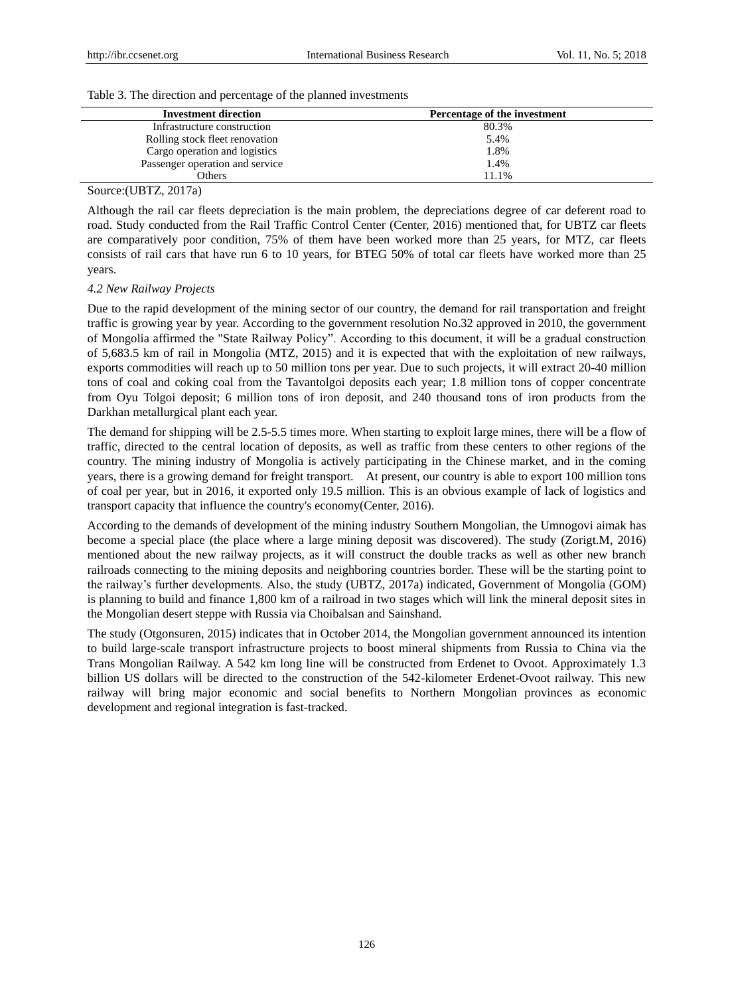| Percentage of the investment |  |
|------------------------------|--|
| 80.3%                        |  |
| 5.4%                         |  |
| 1.8%                         |  |
| 1.4%                         |  |
| 11.1%                        |  |
|                              |  |

## Source:(UBTZ, 2017a)

Although the rail car fleets depreciation is the main problem, the depreciations degree of car deferent road to road. Study conducted from the Rail Traffic Control Center (Center, 2016) mentioned that, for UBTZ car fleets are comparatively poor condition, 75% of them have been worked more than 25 years, for MTZ, car fleets consists of rail cars that have run 6 to 10 years, for BTEG 50% of total car fleets have worked more than 25 years.

#### *4.2 New Railway Projects*

Due to the rapid development of the mining sector of our country, the demand for rail transportation and freight traffic is growing year by year. According to the government resolution No.32 approved in 2010, the government of Mongolia affirmed the "State Railway Policy". According to this document, it will be a gradual construction of 5,683.5 km of rail in Mongolia (MTZ, 2015) and it is expected that with the exploitation of new railways, exports commodities will reach up to 50 million tons per year. Due to such projects, it will extract 20-40 million tons of coal and coking coal from the Tavantolgoi deposits each year; 1.8 million tons of copper concentrate from Oyu Tolgoi deposit; 6 million tons of iron deposit, and 240 thousand tons of iron products from the Darkhan metallurgical plant each year.

The demand for shipping will be 2.5-5.5 times more. When starting to exploit large mines, there will be a flow of traffic, directed to the central location of deposits, as well as traffic from these centers to other regions of the country. The mining industry of Mongolia is actively participating in the Chinese market, and in the coming years, there is a growing demand for freight transport. At present, our country is able to export 100 million tons of coal per year, but in 2016, it exported only 19.5 million. This is an obvious example of lack of logistics and transport capacity that influence the country's economy(Center, 2016).

According to the demands of development of the mining industry Southern Mongolian, the Umnogovi aimak has become a special place (the place where a large mining deposit was discovered). The study (Zorigt.M, 2016) mentioned about the new railway projects, as it will construct the double tracks as well as other new branch railroads connecting to the mining deposits and neighboring countries border. These will be the starting point to the railway's further developments. Also, the study (UBTZ, 2017a) indicated, Government of Mongolia (GOM) is planning to build and finance 1,800 km of a railroad in two stages which will link the mineral deposit sites in the Mongolian desert steppe with Russia via Choibalsan and Sainshand.

The study (Otgonsuren, 2015) indicates that in October 2014, the Mongolian government announced its intention to build large-scale transport infrastructure projects to boost mineral shipments from Russia to China via the Trans Mongolian Railway. A 542 km long line will be constructed from Erdenet to Ovoot. Approximately 1.3 billion US dollars will be directed to the construction of the 542-kilometer Erdenet-Ovoot railway. This new railway will bring major economic and social benefits to Northern Mongolian provinces as economic development and regional integration is fast-tracked.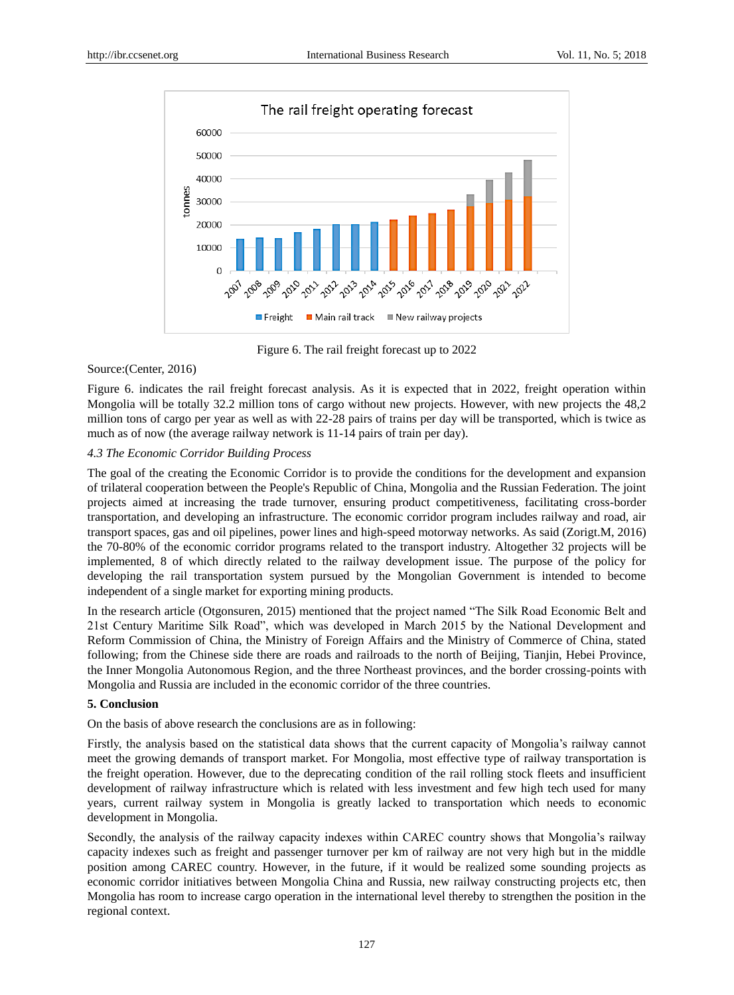

Figure 6. The rail freight forecast up to 2022

## Source:(Center, 2016)

Figure 6. indicates the rail freight forecast analysis. As it is expected that in 2022, freight operation within Mongolia will be totally 32.2 million tons of cargo without new projects. However, with new projects the 48,2 million tons of cargo per year as well as with 22-28 pairs of trains per day will be transported, which is twice as much as of now (the average railway network is 11-14 pairs of train per day).

## *4.3 The Economic Corridor Building Process*

The goal of the creating the Economic Corridor is to provide the conditions for the development and expansion of trilateral cooperation between the People's Republic of China, Mongolia and the Russian Federation. The joint projects aimed at increasing the trade turnover, ensuring product competitiveness, facilitating cross-border transportation, and developing an infrastructure. The economic corridor program includes railway and road, air transport spaces, gas and oil pipelines, power lines and high-speed motorway networks. As said (Zorigt.M, 2016) the 70-80% of the economic corridor programs related to the transport industry. Altogether 32 projects will be implemented, 8 of which directly related to the railway development issue. The purpose of the policy for developing the rail transportation system pursued by the Mongolian Government is intended to become independent of a single market for exporting mining products.

In the research article (Otgonsuren, 2015) mentioned that the project named "The Silk Road Economic Belt and 21st Century Maritime Silk Road", which was developed in March 2015 by the National Development and Reform Commission of China, the Ministry of Foreign Affairs and the Ministry of Commerce of China, stated following; from the Chinese side there are roads and railroads to the north of Beijing, Tianjin, Hebei Province, the Inner Mongolia Autonomous Region, and the three Northeast provinces, and the border crossing-points with Mongolia and Russia are included in the economic corridor of the three countries.

## **5. Conclusion**

On the basis of above research the conclusions are as in following:

Firstly, the analysis based on the statistical data shows that the current capacity of Mongolia's railway cannot meet the growing demands of transport market. For Mongolia, most effective type of railway transportation is the freight operation. However, due to the deprecating condition of the rail rolling stock fleets and insufficient development of railway infrastructure which is related with less investment and few high tech used for many years, current railway system in Mongolia is greatly lacked to transportation which needs to economic development in Mongolia.

Secondly, the analysis of the railway capacity indexes within CAREC country shows that Mongolia's railway capacity indexes such as freight and passenger turnover per km of railway are not very high but in the middle position among CAREC country. However, in the future, if it would be realized some sounding projects as economic corridor initiatives between Mongolia China and Russia, new railway constructing projects etc, then Mongolia has room to increase cargo operation in the international level thereby to strengthen the position in the regional context.